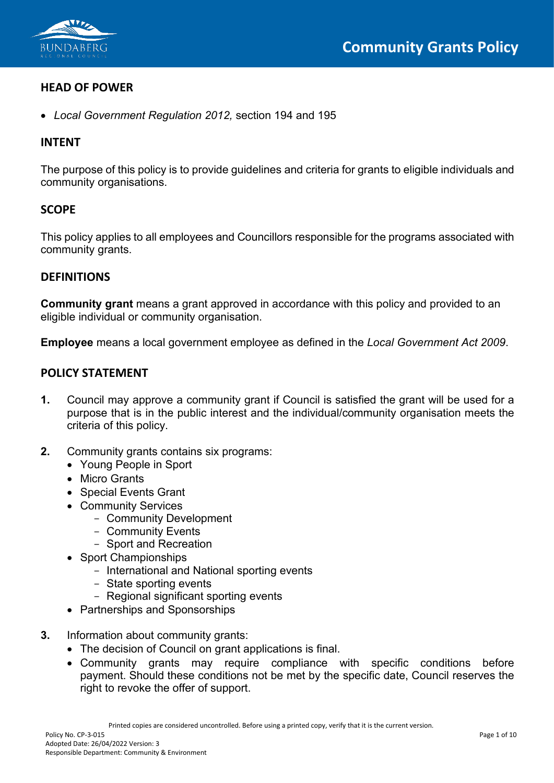

# **HEAD OF POWER**

• *Local Government Regulation 2012,* section 194 and 195

# **INTENT**

The purpose of this policy is to provide guidelines and criteria for grants to eligible individuals and community organisations.

## **SCOPE**

This policy applies to all employees and Councillors responsible for the programs associated with community grants.

## **DEFINITIONS**

**Community grant** means a grant approved in accordance with this policy and provided to an eligible individual or community organisation.

**Employee** means a local government employee as defined in the *Local Government Act 2009*.

## **POLICY STATEMENT**

- **1.** Council may approve a community grant if Council is satisfied the grant will be used for a purpose that is in the public interest and the individual/community organisation meets the criteria of this policy.
- **2.** Community grants contains six programs:
	- Young People in Sport
	- Micro Grants
	- Special Events Grant
	- Community Services
		- Community Development
		- Community Events
		- Sport and Recreation
	- Sport Championships
		- International and National sporting events
		- State sporting events
		- Regional significant sporting events
	- Partnerships and Sponsorships
- **3.** Information about community grants:
	- The decision of Council on grant applications is final.
	- Community grants may require compliance with specific conditions before payment. Should these conditions not be met by the specific date, Council reserves the right to revoke the offer of support.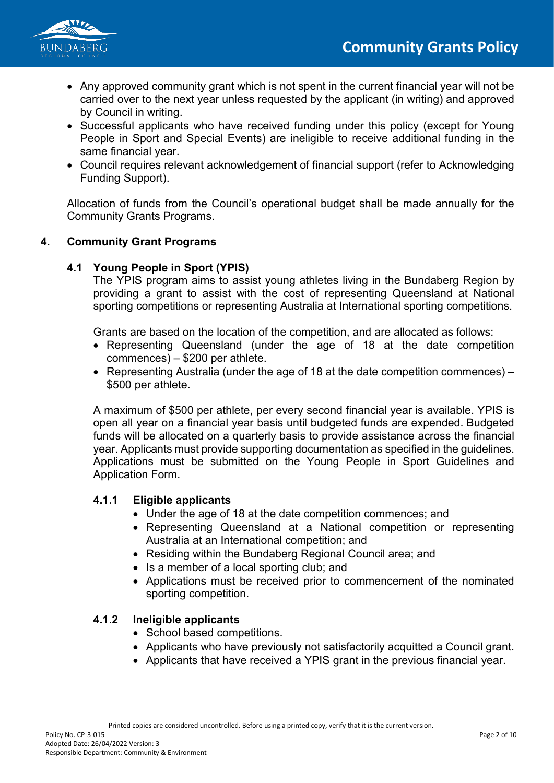

- Any approved community grant which is not spent in the current financial year will not be carried over to the next year unless requested by the applicant (in writing) and approved by Council in writing.
- Successful applicants who have received funding under this policy (except for Young People in Sport and Special Events) are ineligible to receive additional funding in the same financial year.
- Council requires relevant acknowledgement of financial support (refer to Acknowledging Funding Support).

Allocation of funds from the Council's operational budget shall be made annually for the Community Grants Programs.

# **4. Community Grant Programs**

## **4.1 Young People in Sport (YPIS)**

The YPIS program aims to assist young athletes living in the Bundaberg Region by providing a grant to assist with the cost of representing Queensland at National sporting competitions or representing Australia at International sporting competitions.

Grants are based on the location of the competition, and are allocated as follows:

- Representing Queensland (under the age of 18 at the date competition commences) – \$200 per athlete.
- Representing Australia (under the age of 18 at the date competition commences) \$500 per athlete.

A maximum of \$500 per athlete, per every second financial year is available. YPIS is open all year on a financial year basis until budgeted funds are expended. Budgeted funds will be allocated on a quarterly basis to provide assistance across the financial year. Applicants must provide supporting documentation as specified in the guidelines. Applications must be submitted on the Young People in Sport Guidelines and Application Form.

## **4.1.1 Eligible applicants**

- Under the age of 18 at the date competition commences; and
- Representing Queensland at a National competition or representing Australia at an International competition; and
- Residing within the Bundaberg Regional Council area; and
- Is a member of a local sporting club; and
- Applications must be received prior to commencement of the nominated sporting competition.

## **4.1.2 Ineligible applicants**

- School based competitions.
- Applicants who have previously not satisfactorily acquitted a Council grant.
- Applicants that have received a YPIS grant in the previous financial year.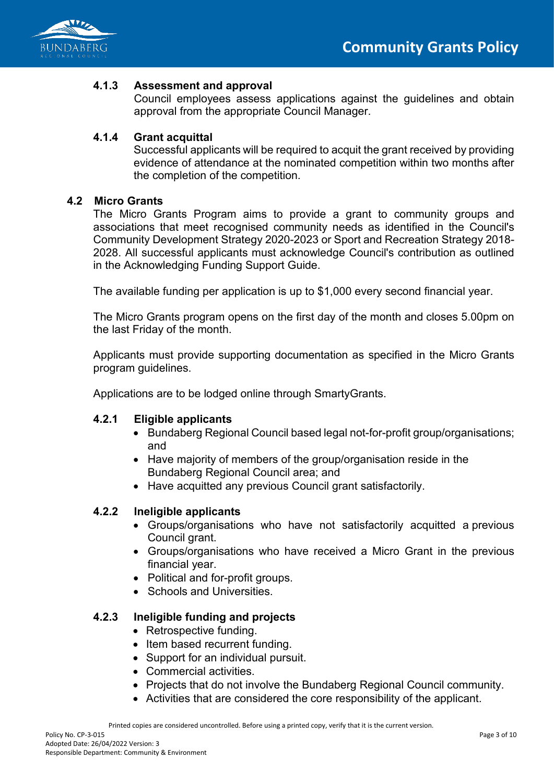

## **4.1.3 Assessment and approval**

Council employees assess applications against the guidelines and obtain approval from the appropriate Council Manager.

# **4.1.4 Grant acquittal**

Successful applicants will be required to acquit the grant received by providing evidence of attendance at the nominated competition within two months after the completion of the competition.

### **4.2 Micro Grants**

The Micro Grants Program aims to provide a grant to community groups and associations that meet recognised community needs as identified in the Council's Community Development Strategy 2020-2023 or Sport and Recreation Strategy 2018- 2028. All successful applicants must acknowledge Council's contribution as outlined in the Acknowledging Funding Support Guide.

The available funding per application is up to \$1,000 every second financial year.

The Micro Grants program opens on the first day of the month and closes 5.00pm on the last Friday of the month.

Applicants must provide supporting documentation as specified in the Micro Grants program guidelines.

Applications are to be lodged online through SmartyGrants.

## **4.2.1 Eligible applicants**

- Bundaberg Regional Council based legal not-for-profit group/organisations: and
- Have majority of members of the group/organisation reside in the Bundaberg Regional Council area; and
- Have acquitted any previous Council grant satisfactorily.

## **4.2.2 Ineligible applicants**

- Groups/organisations who have not satisfactorily acquitted a previous Council grant.
- Groups/organisations who have received a Micro Grant in the previous financial year.
- Political and for-profit groups.
- Schools and Universities.

## **4.2.3 Ineligible funding and projects**

- Retrospective funding.
- Item based recurrent funding.
- Support for an individual pursuit.
- Commercial activities.
- Projects that do not involve the Bundaberg Regional Council community.
- Activities that are considered the core responsibility of the applicant.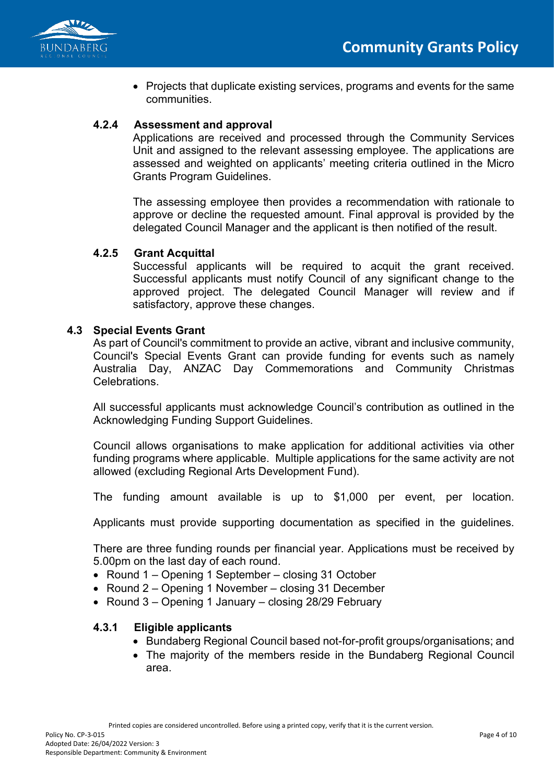

• Projects that duplicate existing services, programs and events for the same communities.

# **4.2.4 Assessment and approval**

Applications are received and processed through the Community Services Unit and assigned to the relevant assessing employee. The applications are assessed and weighted on applicants' meeting criteria outlined in the Micro Grants Program Guidelines.

The assessing employee then provides a recommendation with rationale to approve or decline the requested amount. Final approval is provided by the delegated Council Manager and the applicant is then notified of the result.

#### **4.2.5 Grant Acquittal**

Successful applicants will be required to acquit the grant received. Successful applicants must notify Council of any significant change to the approved project. The delegated Council Manager will review and if satisfactory, approve these changes.

#### **4.3 Special Events Grant**

As part of Council's commitment to provide an active, vibrant and inclusive community, Council's Special Events Grant can provide funding for events such as namely Australia Day, ANZAC Day Commemorations and Community Christmas **Celebrations** 

All successful applicants must acknowledge Council's contribution as outlined in the Acknowledging Funding Support Guidelines.

Council allows organisations to make application for additional activities via other funding programs where applicable. Multiple applications for the same activity are not allowed (excluding Regional Arts Development Fund).

The funding amount available is up to \$1,000 per event, per location.

Applicants must provide supporting documentation as specified in the guidelines.

There are three funding rounds per financial year. Applications must be received by 5.00pm on the last day of each round.

- Round 1 Opening 1 September closing 31 October
- Round 2 Opening 1 November closing 31 December
- Round 3 Opening 1 January closing 28/29 February

#### **4.3.1 Eligible applicants**

- Bundaberg Regional Council based not-for-profit groups/organisations; and
- The majority of the members reside in the Bundaberg Regional Council area.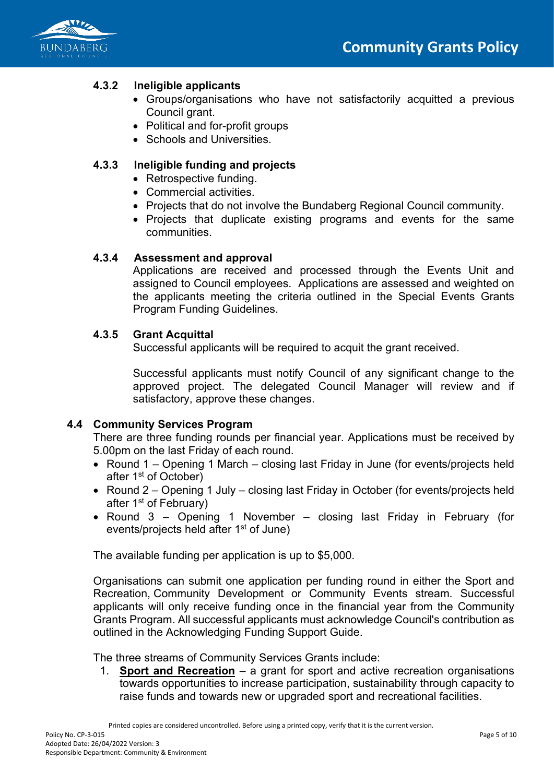

# **4.3.2 Ineligible applicants**

- Groups/organisations who have not satisfactorily acquitted a previous Council grant.
- Political and for-profit groups
- Schools and Universities.

## **4.3.3 Ineligible funding and projects**

- Retrospective funding.
- Commercial activities.
- Projects that do not involve the Bundaberg Regional Council community.
- Projects that duplicate existing programs and events for the same communities.

#### **4.3.4 Assessment and approval**

Applications are received and processed through the Events Unit and assigned to Council employees. Applications are assessed and weighted on the applicants meeting the criteria outlined in the Special Events Grants Program Funding Guidelines.

#### **4.3.5 Grant Acquittal**

Successful applicants will be required to acquit the grant received.

Successful applicants must notify Council of any significant change to the approved project. The delegated Council Manager will review and if satisfactory, approve these changes.

#### **4.4 Community Services Program**

There are three funding rounds per financial year. Applications must be received by 5.00pm on the last Friday of each round.

- Round 1 Opening 1 March closing last Friday in June (for events/projects held after 1st of October)
- Round 2 Opening 1 July closing last Friday in October (for events/projects held after 1st of February)
- Round 3 Opening 1 November closing last Friday in February (for events/projects held after 1<sup>st</sup> of June)

The available funding per application is up to \$5,000.

Organisations can submit one application per funding round in either the Sport and Recreation, Community Development or Community Events stream. Successful applicants will only receive funding once in the financial year from the Community Grants Program. All successful applicants must acknowledge Council's contribution as outlined in the Acknowledging Funding Support Guide.

The three streams of Community Services Grants include:

1. **Sport and Recreation** – a grant for sport and active recreation organisations towards opportunities to increase participation, sustainability through capacity to raise funds and towards new or upgraded sport and recreational facilities.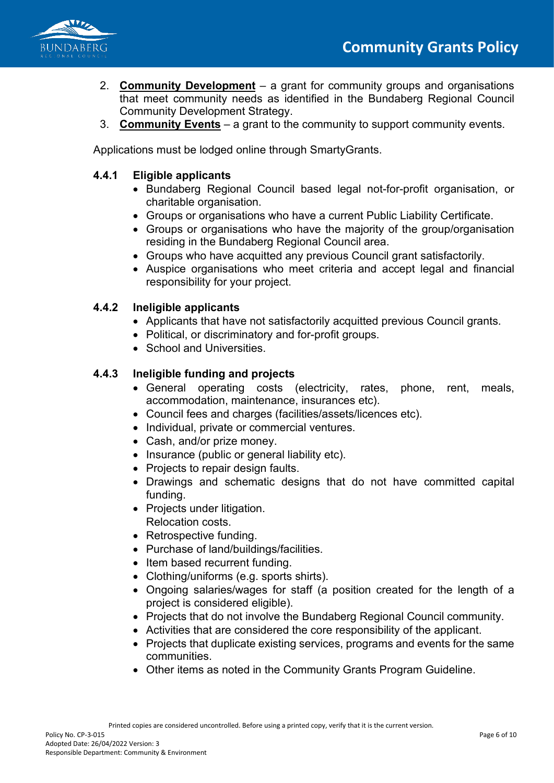

- 2. **Community Development** a grant for community groups and organisations that meet community needs as identified in the Bundaberg Regional Council Community Development Strategy.
- 3. **Community Events** a grant to the community to support community events.

Applications must be lodged online through SmartyGrants.

# **4.4.1 Eligible applicants**

- Bundaberg Regional Council based legal not-for-profit organisation, or charitable organisation.
- Groups or organisations who have a current Public Liability Certificate.
- Groups or organisations who have the majority of the group/organisation residing in the Bundaberg Regional Council area.
- Groups who have acquitted any previous Council grant satisfactorily.
- Auspice organisations who meet criteria and accept legal and financial responsibility for your project.

## **4.4.2 Ineligible applicants**

- Applicants that have not satisfactorily acquitted previous Council grants.
- Political, or discriminatory and for-profit groups.
- School and Universities

## **4.4.3 Ineligible funding and projects**

- General operating costs (electricity, rates, phone, rent, meals, accommodation, maintenance, insurances etc).
- Council fees and charges (facilities/assets/licences etc).
- Individual, private or commercial ventures.
- Cash, and/or prize money.
- Insurance (public or general liability etc).
- Projects to repair design faults.
- Drawings and schematic designs that do not have committed capital funding.
- Projects under litigation. Relocation costs.
- Retrospective funding.
- Purchase of land/buildings/facilities.
- Item based recurrent funding.
- Clothing/uniforms (e.g. sports shirts).
- Ongoing salaries/wages for staff (a position created for the length of a project is considered eligible).
- Projects that do not involve the Bundaberg Regional Council community.
- Activities that are considered the core responsibility of the applicant.
- Projects that duplicate existing services, programs and events for the same communities.
- Other items as noted in the Community Grants Program Guideline.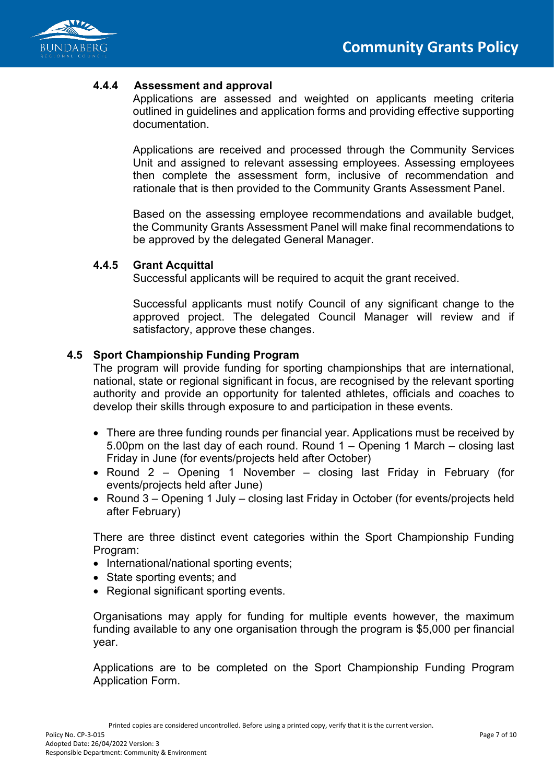

#### **4.4.4 Assessment and approval**

Applications are assessed and weighted on applicants meeting criteria outlined in guidelines and application forms and providing effective supporting documentation.

Applications are received and processed through the Community Services Unit and assigned to relevant assessing employees. Assessing employees then complete the assessment form, inclusive of recommendation and rationale that is then provided to the Community Grants Assessment Panel.

Based on the assessing employee recommendations and available budget, the Community Grants Assessment Panel will make final recommendations to be approved by the delegated General Manager.

#### **4.4.5 Grant Acquittal**

Successful applicants will be required to acquit the grant received.

Successful applicants must notify Council of any significant change to the approved project. The delegated Council Manager will review and if satisfactory, approve these changes.

#### **4.5 Sport Championship Funding Program**

The program will provide funding for sporting championships that are international, national, state or regional significant in focus, are recognised by the relevant sporting authority and provide an opportunity for talented athletes, officials and coaches to develop their skills through exposure to and participation in these events.

- There are three funding rounds per financial year. Applications must be received by 5.00pm on the last day of each round. Round 1 – Opening 1 March – closing last Friday in June (for events/projects held after October)
- Round 2 Opening 1 November closing last Friday in February (for events/projects held after June)
- Round 3 Opening 1 July closing last Friday in October (for events/projects held after February)

There are three distinct event categories within the Sport Championship Funding Program:

- International/national sporting events;
- State sporting events; and
- Regional significant sporting events.

Organisations may apply for funding for multiple events however, the maximum funding available to any one organisation through the program is \$5,000 per financial year.

Applications are to be completed on the Sport Championship Funding Program Application Form.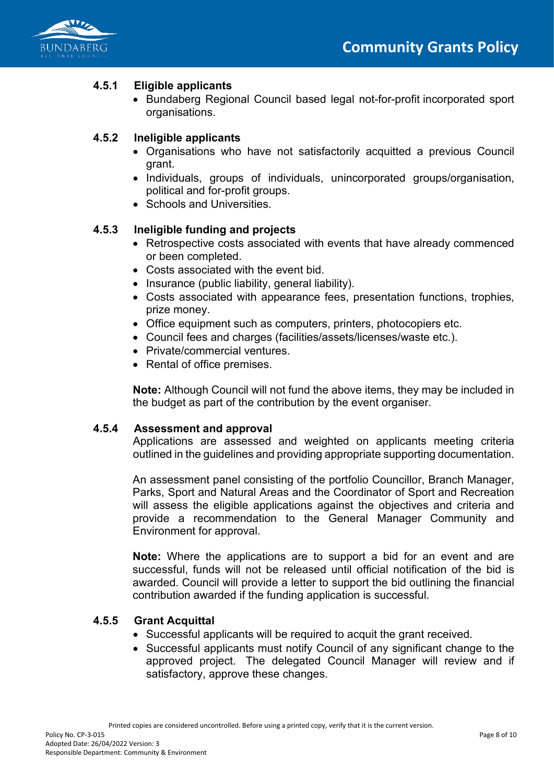

# **4.5.1 Eligible applicants**

• Bundaberg Regional Council based legal not-for-profit incorporated sport organisations.

# **4.5.2 Ineligible applicants**

- Organisations who have not satisfactorily acquitted a previous Council grant.
- Individuals, groups of individuals, unincorporated groups/organisation, political and for-profit groups.
- Schools and Universities.

# **4.5.3 Ineligible funding and projects**

- Retrospective costs associated with events that have already commenced or been completed.
- Costs associated with the event bid.
- Insurance (public liability, general liability).
- Costs associated with appearance fees, presentation functions, trophies, prize money.
- Office equipment such as computers, printers, photocopiers etc.
- Council fees and charges (facilities/assets/licenses/waste etc.).
- Private/commercial ventures.
- Rental of office premises.

**Note:** Although Council will not fund the above items, they may be included in the budget as part of the contribution by the event organiser.

## **4.5.4 Assessment and approval**

Applications are assessed and weighted on applicants meeting criteria outlined in the guidelines and providing appropriate supporting documentation.

An assessment panel consisting of the portfolio Councillor, Branch Manager, Parks, Sport and Natural Areas and the Coordinator of Sport and Recreation will assess the eligible applications against the objectives and criteria and provide a recommendation to the General Manager Community and Environment for approval.

**Note:** Where the applications are to support a bid for an event and are successful, funds will not be released until official notification of the bid is awarded. Council will provide a letter to support the bid outlining the financial contribution awarded if the funding application is successful.

## **4.5.5 Grant Acquittal**

- Successful applicants will be required to acquit the grant received.
- Successful applicants must notify Council of any significant change to the approved project. The delegated Council Manager will review and if satisfactory, approve these changes.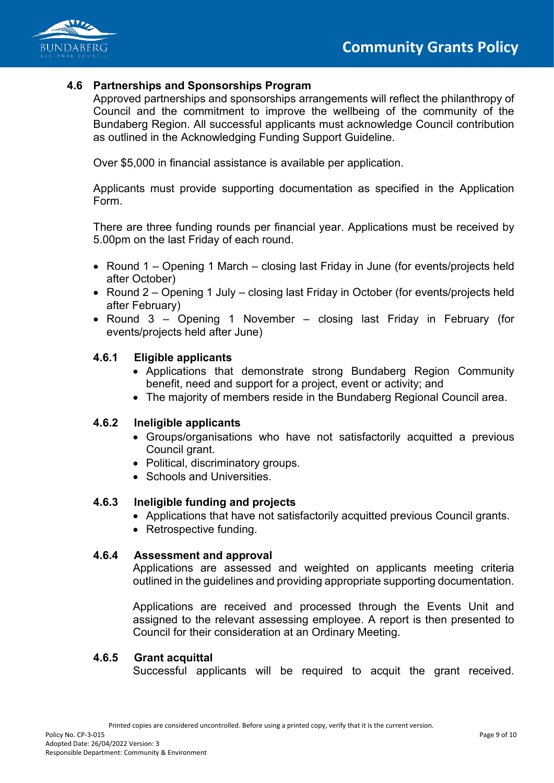

### **4.6 Partnerships and Sponsorships Program**

Approved partnerships and sponsorships arrangements will reflect the philanthropy of Council and the commitment to improve the wellbeing of the community of the Bundaberg Region. All successful applicants must acknowledge Council contribution as outlined in the Acknowledging Funding Support Guideline.

Over \$5,000 in financial assistance is available per application.

Applicants must provide supporting documentation as specified in the Application Form.

There are three funding rounds per financial year. Applications must be received by 5.00pm on the last Friday of each round.

- Round 1 Opening 1 March closing last Friday in June (for events/projects held after October)
- Round 2 Opening 1 July closing last Friday in October (for events/projects held after February)
- Round 3 Opening 1 November closing last Friday in February (for events/projects held after June)

# **4.6.1 Eligible applicants**

- Applications that demonstrate strong Bundaberg Region Community benefit, need and support for a project, event or activity; and
- The majority of members reside in the Bundaberg Regional Council area.

#### **4.6.2 Ineligible applicants**

- Groups/organisations who have not satisfactorily acquitted a previous Council grant.
- Political, discriminatory groups.
- Schools and Universities.

#### **4.6.3 Ineligible funding and projects**

- Applications that have not satisfactorily acquitted previous Council grants.
- Retrospective funding.

#### **4.6.4 Assessment and approval**

Applications are assessed and weighted on applicants meeting criteria outlined in the guidelines and providing appropriate supporting documentation.

Applications are received and processed through the Events Unit and assigned to the relevant assessing employee. A report is then presented to Council for their consideration at an Ordinary Meeting.

#### **4.6.5 Grant acquittal**

Successful applicants will be required to acquit the grant received.